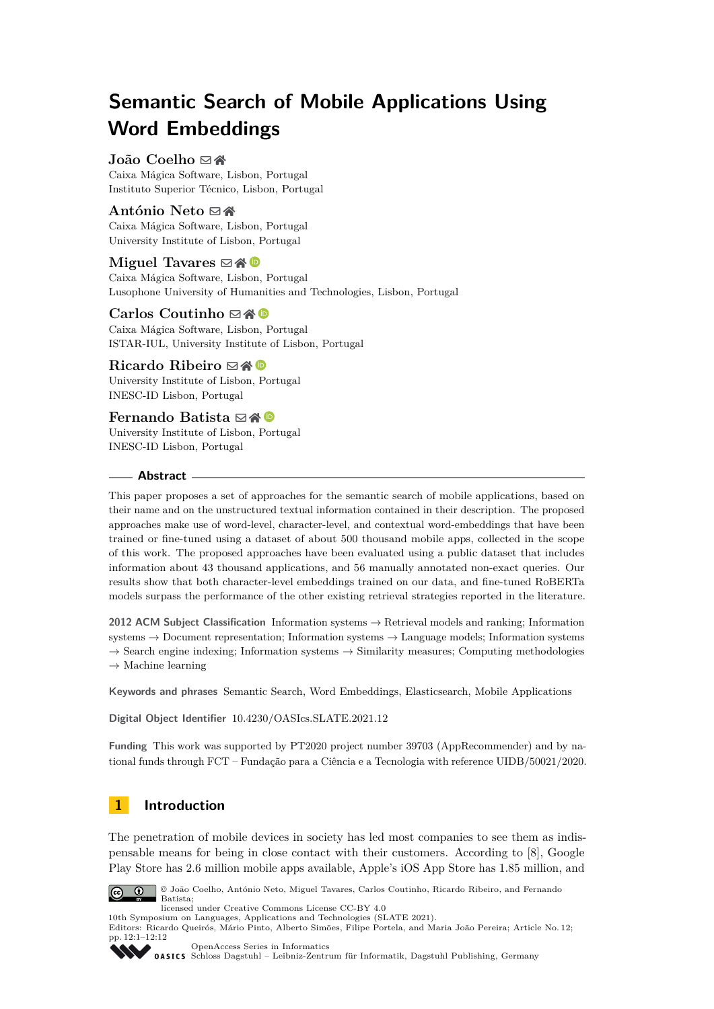# **Semantic Search of Mobile Applications Using Word Embeddings**

# João Coelho ⊠**l**

Caixa Mágica Software, Lisbon, Portugal Instituto Superior Técnico, Lisbon, Portugal

# António Neto ⊠

Caixa Mágica Software, Lisbon, Portugal University Institute of Lisbon, Portugal

# **Miguel Tavares** ⊠ A <sup>©</sup>

Caixa Mágica Software, Lisbon, Portugal Lusophone University of Humanities and Technologies, Lisbon, Portugal

# **Carlos Coutinho** ⊠\* <sup>■</sup>

Caixa Mágica Software, Lisbon, Portugal ISTAR-IUL, University Institute of Lisbon, Portugal

# **Ricardo Ribeiro** ⊠A **©**

University Institute of Lisbon, Portugal INESC-ID Lisbon, Portugal

# **Fernando Batista** ⊠谷 <sup>■</sup>

University Institute of Lisbon, Portugal INESC-ID Lisbon, Portugal

## **Abstract**

This paper proposes a set of approaches for the semantic search of mobile applications, based on their name and on the unstructured textual information contained in their description. The proposed approaches make use of word-level, character-level, and contextual word-embeddings that have been trained or fine-tuned using a dataset of about 500 thousand mobile apps, collected in the scope of this work. The proposed approaches have been evaluated using a public dataset that includes information about 43 thousand applications, and 56 manually annotated non-exact queries. Our results show that both character-level embeddings trained on our data, and fine-tuned RoBERTa models surpass the performance of the other existing retrieval strategies reported in the literature.

**2012 ACM Subject Classification** Information systems → Retrieval models and ranking; Information systems → Document representation; Information systems → Language models; Information systems  $\rightarrow$  Search engine indexing; Information systems  $\rightarrow$  Similarity measures; Computing methodologies  $\rightarrow$  Machine learning

**Keywords and phrases** Semantic Search, Word Embeddings, Elasticsearch, Mobile Applications

**Digital Object Identifier** [10.4230/OASIcs.SLATE.2021.12](https://doi.org/10.4230/OASIcs.SLATE.2021.12)

**Funding** This work was supported by PT2020 project number 39703 (AppRecommender) and by national funds through FCT – Fundação para a Ciência e a Tecnologia with reference UIDB/50021/2020.

# **1 Introduction**

The penetration of mobile devices in society has led most companies to see them as indispensable means for being in close contact with their customers. According to [\[8\]](#page-10-0), Google Play Store has 2.6 million mobile apps available, Apple's iOS App Store has 1.85 million, and



© João Coelho, António Neto, Miguel Tavares, Carlos Coutinho, Ricardo Ribeiro, and Fernando Batista;

licensed under Creative Commons License CC-BY 4.0

Editors: Ricardo Queirós, Mário Pinto, Alberto Simões, Filipe Portela, and Maria João Pereira; Article No. 12; pp. 12:1–12:12



[OpenAccess Series in Informatics](https://www.dagstuhl.de/oasics/) [Schloss Dagstuhl – Leibniz-Zentrum für Informatik, Dagstuhl Publishing, Germany](https://www.dagstuhl.de)

<sup>10</sup>th Symposium on Languages, Applications and Technologies (SLATE 2021).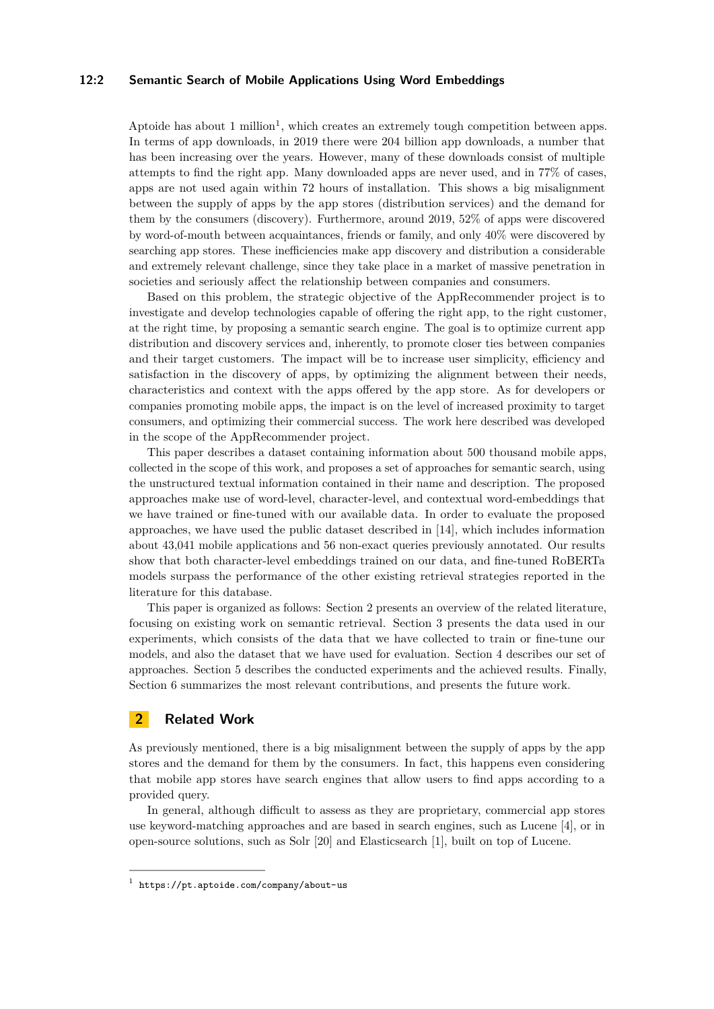#### **12:2 Semantic Search of Mobile Applications Using Word Embeddings**

Aptoide has about  $1$  million<sup>1</sup>, which creates an extremely tough competition between apps. In terms of app downloads, in 2019 there were 204 billion app downloads, a number that has been increasing over the years. However, many of these downloads consist of multiple attempts to find the right app. Many downloaded apps are never used, and in 77% of cases, apps are not used again within 72 hours of installation. This shows a big misalignment between the supply of apps by the app stores (distribution services) and the demand for them by the consumers (discovery). Furthermore, around 2019, 52% of apps were discovered by word-of-mouth between acquaintances, friends or family, and only 40% were discovered by searching app stores. These inefficiencies make app discovery and distribution a considerable and extremely relevant challenge, since they take place in a market of massive penetration in societies and seriously affect the relationship between companies and consumers.

Based on this problem, the strategic objective of the AppRecommender project is to investigate and develop technologies capable of offering the right app, to the right customer, at the right time, by proposing a semantic search engine. The goal is to optimize current app distribution and discovery services and, inherently, to promote closer ties between companies and their target customers. The impact will be to increase user simplicity, efficiency and satisfaction in the discovery of apps, by optimizing the alignment between their needs, characteristics and context with the apps offered by the app store. As for developers or companies promoting mobile apps, the impact is on the level of increased proximity to target consumers, and optimizing their commercial success. The work here described was developed in the scope of the AppRecommender project.

This paper describes a dataset containing information about 500 thousand mobile apps, collected in the scope of this work, and proposes a set of approaches for semantic search, using the unstructured textual information contained in their name and description. The proposed approaches make use of word-level, character-level, and contextual word-embeddings that we have trained or fine-tuned with our available data. In order to evaluate the proposed approaches, we have used the public dataset described in [\[14\]](#page-10-1), which includes information about 43,041 mobile applications and 56 non-exact queries previously annotated. Our results show that both character-level embeddings trained on our data, and fine-tuned RoBERTa models surpass the performance of the other existing retrieval strategies reported in the literature for this database.

This paper is organized as follows: Section [2](#page-1-1) presents an overview of the related literature, focusing on existing work on semantic retrieval. Section [3](#page-2-0) presents the data used in our experiments, which consists of the data that we have collected to train or fine-tune our models, and also the dataset that we have used for evaluation. Section [4](#page-5-0) describes our set of approaches. Section [5](#page-7-0) describes the conducted experiments and the achieved results. Finally, Section [6](#page-8-0) summarizes the most relevant contributions, and presents the future work.

## <span id="page-1-1"></span>**2 Related Work**

As previously mentioned, there is a big misalignment between the supply of apps by the app stores and the demand for them by the consumers. In fact, this happens even considering that mobile app stores have search engines that allow users to find apps according to a provided query.

In general, although difficult to assess as they are proprietary, commercial app stores use keyword-matching approaches and are based in search engines, such as Lucene [\[4\]](#page-10-2), or in open-source solutions, such as Solr [\[20\]](#page-11-0) and Elasticsearch [\[1\]](#page-10-3), built on top of Lucene.

<span id="page-1-0"></span><sup>1</sup> <https://pt.aptoide.com/company/about-us>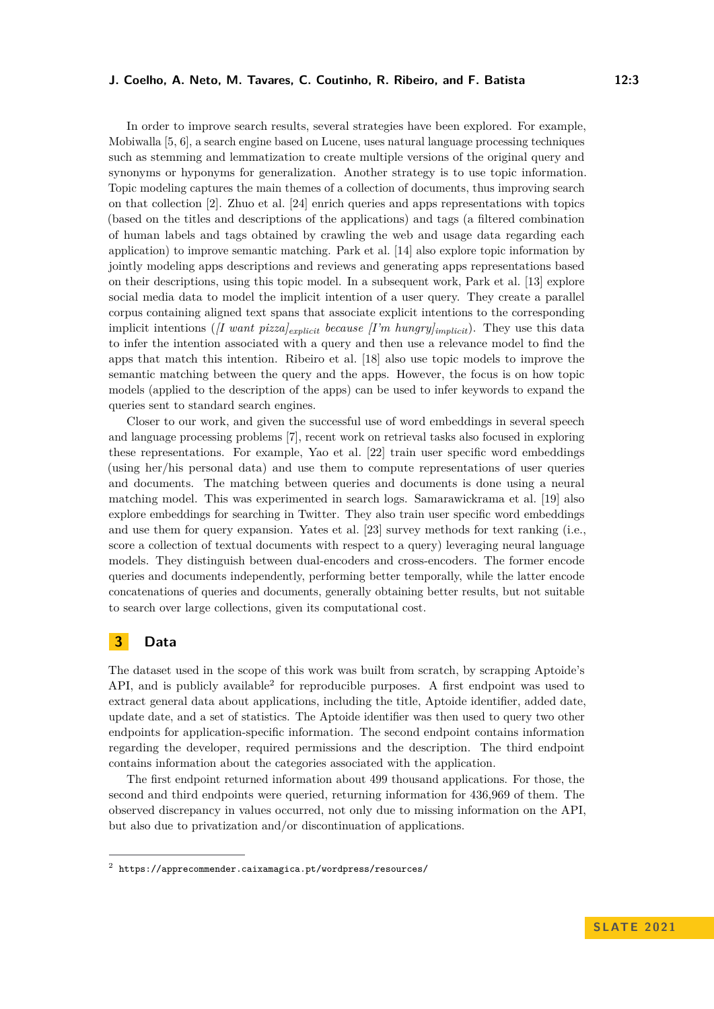#### **J. Coelho, A. Neto, M. Tavares, C. Coutinho, R. Ribeiro, and F. Batista 12:3**

In order to improve search results, several strategies have been explored. For example, Mobiwalla [\[5,](#page-10-4) [6\]](#page-10-5), a search engine based on Lucene, uses natural language processing techniques such as stemming and lemmatization to create multiple versions of the original query and synonyms or hyponyms for generalization. Another strategy is to use topic information. Topic modeling captures the main themes of a collection of documents, thus improving search on that collection [\[2\]](#page-10-6). Zhuo et al. [\[24\]](#page-11-1) enrich queries and apps representations with topics (based on the titles and descriptions of the applications) and tags (a filtered combination of human labels and tags obtained by crawling the web and usage data regarding each application) to improve semantic matching. Park et al. [\[14\]](#page-10-1) also explore topic information by jointly modeling apps descriptions and reviews and generating apps representations based on their descriptions, using this topic model. In a subsequent work, Park et al. [\[13\]](#page-10-7) explore social media data to model the implicit intention of a user query. They create a parallel corpus containing aligned text spans that associate explicit intentions to the corresponding implicit intentions (*[I want pizza]explicit because [I'm hungry]implicit*). They use this data to infer the intention associated with a query and then use a relevance model to find the apps that match this intention. Ribeiro et al. [\[18\]](#page-11-2) also use topic models to improve the semantic matching between the query and the apps. However, the focus is on how topic models (applied to the description of the apps) can be used to infer keywords to expand the queries sent to standard search engines.

Closer to our work, and given the successful use of word embeddings in several speech and language processing problems [\[7\]](#page-10-8), recent work on retrieval tasks also focused in exploring these representations. For example, Yao et al. [\[22\]](#page-11-3) train user specific word embeddings (using her/his personal data) and use them to compute representations of user queries and documents. The matching between queries and documents is done using a neural matching model. This was experimented in search logs. Samarawickrama et al. [\[19\]](#page-11-4) also explore embeddings for searching in Twitter. They also train user specific word embeddings and use them for query expansion. Yates et al. [\[23\]](#page-11-5) survey methods for text ranking (i.e., score a collection of textual documents with respect to a query) leveraging neural language models. They distinguish between dual-encoders and cross-encoders. The former encode queries and documents independently, performing better temporally, while the latter encode concatenations of queries and documents, generally obtaining better results, but not suitable to search over large collections, given its computational cost.

# <span id="page-2-0"></span>**3 Data**

The dataset used in the scope of this work was built from scratch, by scrapping Aptoide's API, and is publicly available<sup>[2](#page-2-1)</sup> for reproducible purposes. A first endpoint was used to extract general data about applications, including the title, Aptoide identifier, added date, update date, and a set of statistics. The Aptoide identifier was then used to query two other endpoints for application-specific information. The second endpoint contains information regarding the developer, required permissions and the description. The third endpoint contains information about the categories associated with the application.

The first endpoint returned information about 499 thousand applications. For those, the second and third endpoints were queried, returning information for 436,969 of them. The observed discrepancy in values occurred, not only due to missing information on the API, but also due to privatization and/or discontinuation of applications.

<span id="page-2-1"></span><sup>2</sup> <https://apprecommender.caixamagica.pt/wordpress/resources/>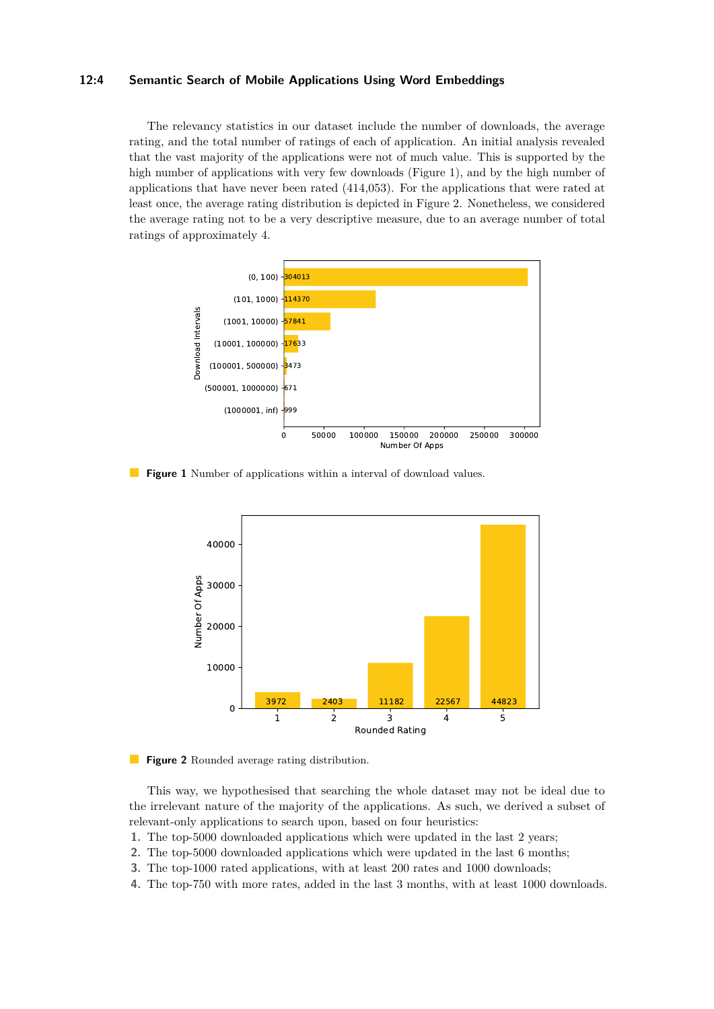#### **12:4 Semantic Search of Mobile Applications Using Word Embeddings**

The relevancy statistics in our dataset include the number of downloads, the average rating, and the total number of ratings of each of application. An initial analysis revealed that the vast majority of the applications were not of much value. This is supported by the high number of applications with very few downloads (Figure [1\)](#page-3-0), and by the high number of applications that have never been rated (414,053). For the applications that were rated at least once, the average rating distribution is depicted in Figure [2.](#page-3-1) Nonetheless, we considered the average rating not to be a very descriptive measure, due to an average number of total ratings of approximately 4.

<span id="page-3-0"></span>

<span id="page-3-1"></span>**Figure 1** Number of applications within a interval of download values.



**Figure 2** Rounded average rating distribution.

This way, we hypothesised that searching the whole dataset may not be ideal due to the irrelevant nature of the majority of the applications. As such, we derived a subset of relevant-only applications to search upon, based on four heuristics:

- **1.** The top-5000 downloaded applications which were updated in the last 2 years;
- **2.** The top-5000 downloaded applications which were updated in the last 6 months;
- **3.** The top-1000 rated applications, with at least 200 rates and 1000 downloads;
- **4.** The top-750 with more rates, added in the last 3 months, with at least 1000 downloads.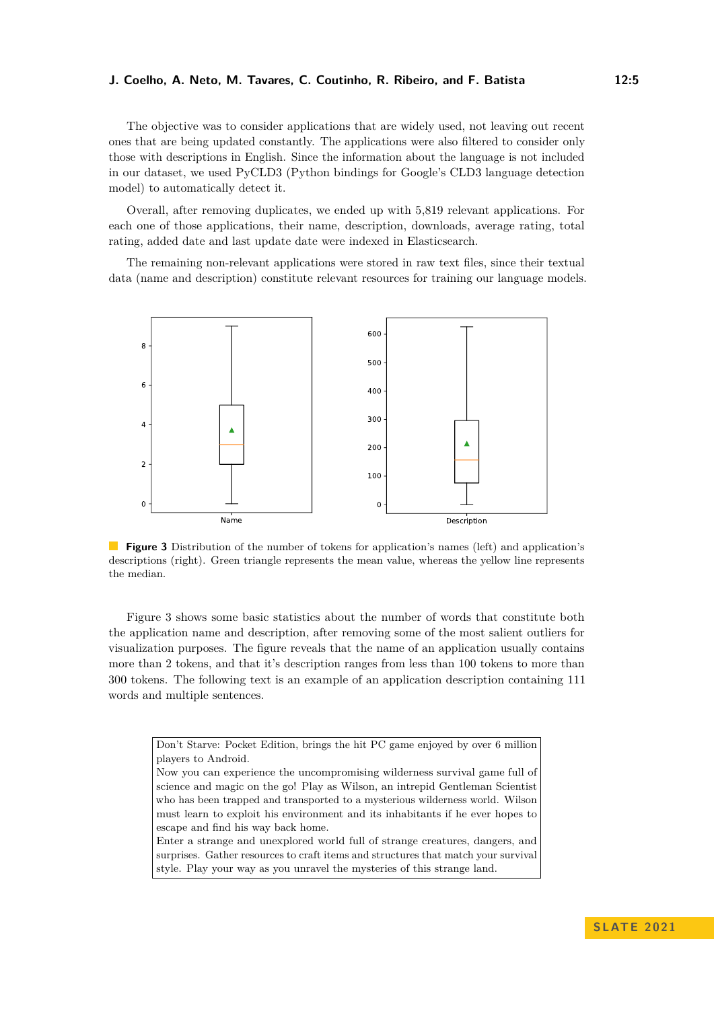#### **J. Coelho, A. Neto, M. Tavares, C. Coutinho, R. Ribeiro, and F. Batista 12:5**

The objective was to consider applications that are widely used, not leaving out recent ones that are being updated constantly. The applications were also filtered to consider only those with descriptions in English. Since the information about the language is not included in our dataset, we used PyCLD3 (Python bindings for Google's CLD3 language detection model) to automatically detect it.

Overall, after removing duplicates, we ended up with 5,819 relevant applications. For each one of those applications, their name, description, downloads, average rating, total rating, added date and last update date were indexed in Elasticsearch.

The remaining non-relevant applications were stored in raw text files, since their textual data (name and description) constitute relevant resources for training our language models.

<span id="page-4-0"></span>

**Figure 3** Distribution of the number of tokens for application's names (left) and application's descriptions (right). Green triangle represents the mean value, whereas the yellow line represents the median.

Figure [3](#page-4-0) shows some basic statistics about the number of words that constitute both the application name and description, after removing some of the most salient outliers for visualization purposes. The figure reveals that the name of an application usually contains more than 2 tokens, and that it's description ranges from less than 100 tokens to more than 300 tokens. The following text is an example of an application description containing 111 words and multiple sentences.

> Don't Starve: Pocket Edition, brings the hit PC game enjoyed by over 6 million players to Android. Now you can experience the uncompromising wilderness survival game full of science and magic on the go! Play as Wilson, an intrepid Gentleman Scientist who has been trapped and transported to a mysterious wilderness world. Wilson must learn to exploit his environment and its inhabitants if he ever hopes to escape and find his way back home.

Enter a strange and unexplored world full of strange creatures, dangers, and surprises. Gather resources to craft items and structures that match your survival style. Play your way as you unravel the mysteries of this strange land.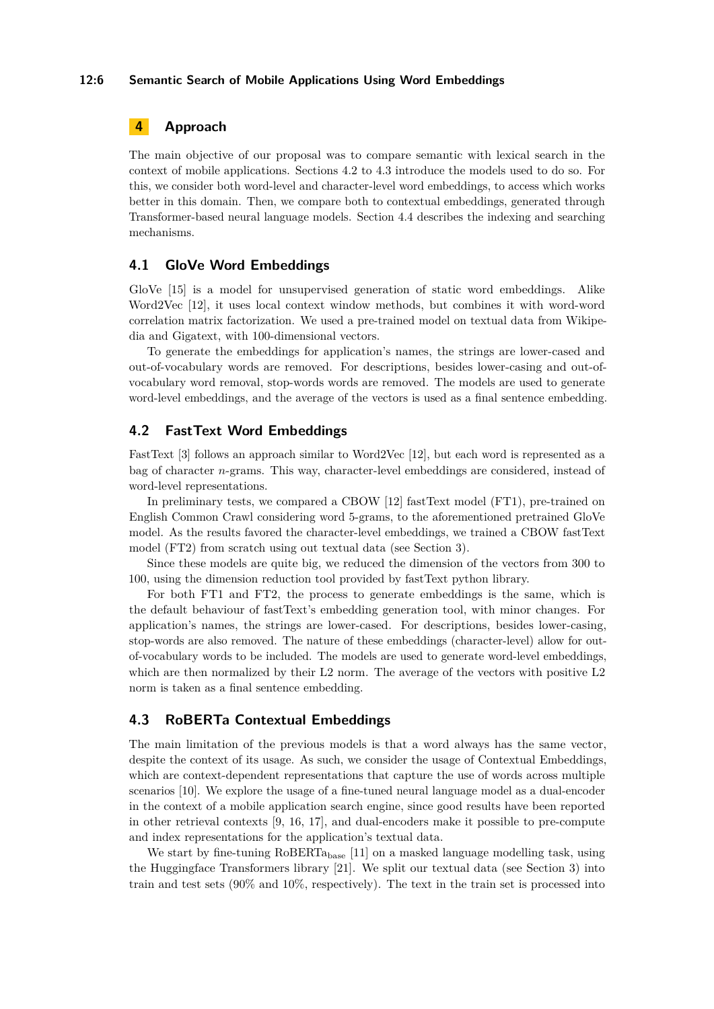#### **12:6 Semantic Search of Mobile Applications Using Word Embeddings**

# <span id="page-5-0"></span>**4 Approach**

The main objective of our proposal was to compare semantic with lexical search in the context of mobile applications. Sections [4.2](#page-5-1) to [4.3](#page-5-2) introduce the models used to do so. For this, we consider both word-level and character-level word embeddings, to access which works better in this domain. Then, we compare both to contextual embeddings, generated through Transformer-based neural language models. Section [4.4](#page-6-0) describes the indexing and searching mechanisms.

## **4.1 GloVe Word Embeddings**

GloVe [\[15\]](#page-10-9) is a model for unsupervised generation of static word embeddings. Alike Word2Vec [\[12\]](#page-10-10), it uses local context window methods, but combines it with word-word correlation matrix factorization. We used a pre-trained model on textual data from Wikipedia and Gigatext, with 100-dimensional vectors.

To generate the embeddings for application's names, the strings are lower-cased and out-of-vocabulary words are removed. For descriptions, besides lower-casing and out-ofvocabulary word removal, stop-words words are removed. The models are used to generate word-level embeddings, and the average of the vectors is used as a final sentence embedding.

# <span id="page-5-1"></span>**4.2 FastText Word Embeddings**

FastText [\[3\]](#page-10-11) follows an approach similar to Word2Vec [\[12\]](#page-10-10), but each word is represented as a bag of character *n*-grams. This way, character-level embeddings are considered, instead of word-level representations.

In preliminary tests, we compared a CBOW [\[12\]](#page-10-10) fastText model (FT1), pre-trained on English Common Crawl considering word 5-grams, to the aforementioned pretrained GloVe model. As the results favored the character-level embeddings, we trained a CBOW fastText model (FT2) from scratch using out textual data (see Section [3\)](#page-2-0).

Since these models are quite big, we reduced the dimension of the vectors from 300 to 100, using the dimension reduction tool provided by fastText python library.

For both FT1 and FT2, the process to generate embeddings is the same, which is the default behaviour of fastText's embedding generation tool, with minor changes. For application's names, the strings are lower-cased. For descriptions, besides lower-casing, stop-words are also removed. The nature of these embeddings (character-level) allow for outof-vocabulary words to be included. The models are used to generate word-level embeddings, which are then normalized by their L2 norm. The average of the vectors with positive L2 norm is taken as a final sentence embedding.

## <span id="page-5-2"></span>**4.3 RoBERTa Contextual Embeddings**

The main limitation of the previous models is that a word always has the same vector, despite the context of its usage. As such, we consider the usage of Contextual Embeddings, which are context-dependent representations that capture the use of words across multiple scenarios [\[10\]](#page-10-12). We explore the usage of a fine-tuned neural language model as a dual-encoder in the context of a mobile application search engine, since good results have been reported in other retrieval contexts [\[9,](#page-10-13) [16,](#page-10-14) [17\]](#page-11-6), and dual-encoders make it possible to pre-compute and index representations for the application's textual data.

We start by fine-tuning RoBERTa<sub>base</sub> [\[11\]](#page-10-15) on a masked language modelling task, using the Huggingface Transformers library [\[21\]](#page-11-7). We split our textual data (see Section [3\)](#page-2-0) into train and test sets  $(90\% \text{ and } 10\%, \text{ respectively})$ . The text in the train set is processed into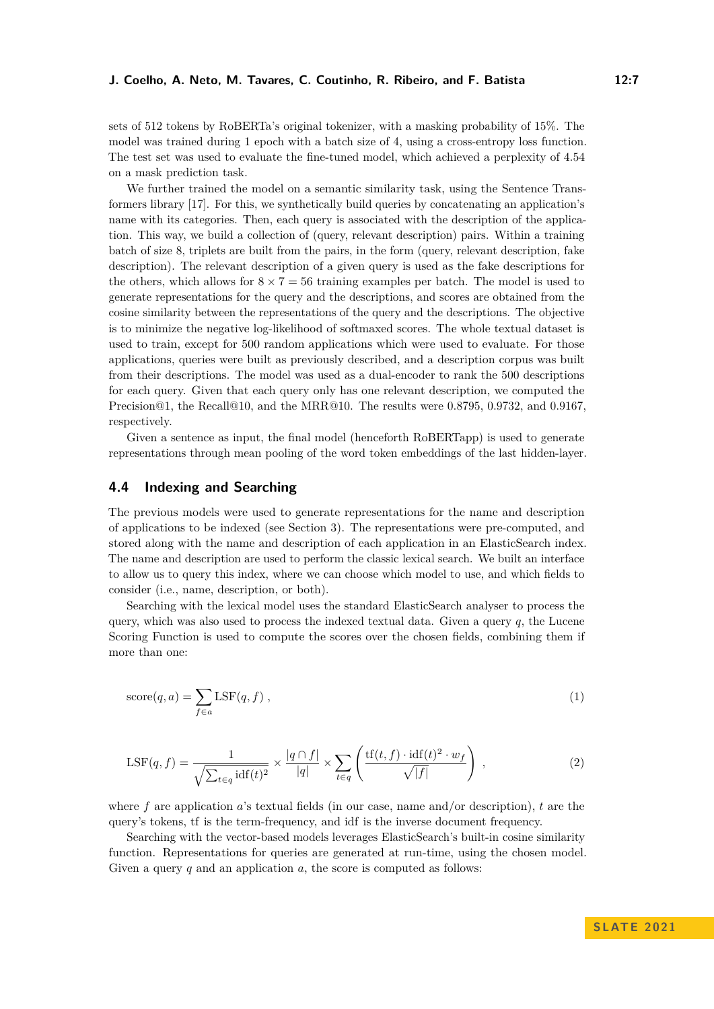sets of 512 tokens by RoBERTa's original tokenizer, with a masking probability of 15%. The model was trained during 1 epoch with a batch size of 4, using a cross-entropy loss function. The test set was used to evaluate the fine-tuned model, which achieved a perplexity of 4.54 on a mask prediction task.

We further trained the model on a semantic similarity task, using the Sentence Transformers library [\[17\]](#page-11-6). For this, we synthetically build queries by concatenating an application's name with its categories. Then, each query is associated with the description of the application. This way, we build a collection of (query, relevant description) pairs. Within a training batch of size 8, triplets are built from the pairs, in the form (query, relevant description, fake description). The relevant description of a given query is used as the fake descriptions for the others, which allows for  $8 \times 7 = 56$  training examples per batch. The model is used to generate representations for the query and the descriptions, and scores are obtained from the cosine similarity between the representations of the query and the descriptions. The objective is to minimize the negative log-likelihood of softmaxed scores. The whole textual dataset is used to train, except for 500 random applications which were used to evaluate. For those applications, queries were built as previously described, and a description corpus was built from their descriptions. The model was used as a dual-encoder to rank the 500 descriptions for each query. Given that each query only has one relevant description, we computed the Precision@1, the Recall@10, and the MRR@10. The results were 0.8795, 0.9732, and 0.9167, respectively.

Given a sentence as input, the final model (henceforth RoBERTapp) is used to generate representations through mean pooling of the word token embeddings of the last hidden-layer.

# <span id="page-6-0"></span>**4.4 Indexing and Searching**

The previous models were used to generate representations for the name and description of applications to be indexed (see Section [3\)](#page-2-0). The representations were pre-computed, and stored along with the name and description of each application in an ElasticSearch index. The name and description are used to perform the classic lexical search. We built an interface to allow us to query this index, where we can choose which model to use, and which fields to consider (i.e., name, description, or both).

Searching with the lexical model uses the standard ElasticSearch analyser to process the query, which was also used to process the indexed textual data. Given a query *q*, the Lucene Scoring Function is used to compute the scores over the chosen fields, combining them if more than one:

$$
score(q, a) = \sum_{f \in a} \text{LSF}(q, f) ,
$$
\n(1)

$$
LSF(q, f) = \frac{1}{\sqrt{\sum_{t \in q} \text{idf}(t)^2}} \times \frac{|q \cap f|}{|q|} \times \sum_{t \in q} \left( \frac{\text{tf}(t, f) \cdot \text{idf}(t)^2 \cdot w_f}{\sqrt{|f|}} \right) ,\tag{2}
$$

where *f* are application *a*'s textual fields (in our case, name and/or description), *t* are the query's tokens, tf is the term-frequency, and idf is the inverse document frequency.

Searching with the vector-based models leverages ElasticSearch's built-in cosine similarity function. Representations for queries are generated at run-time, using the chosen model. Given a query *q* and an application *a*, the score is computed as follows: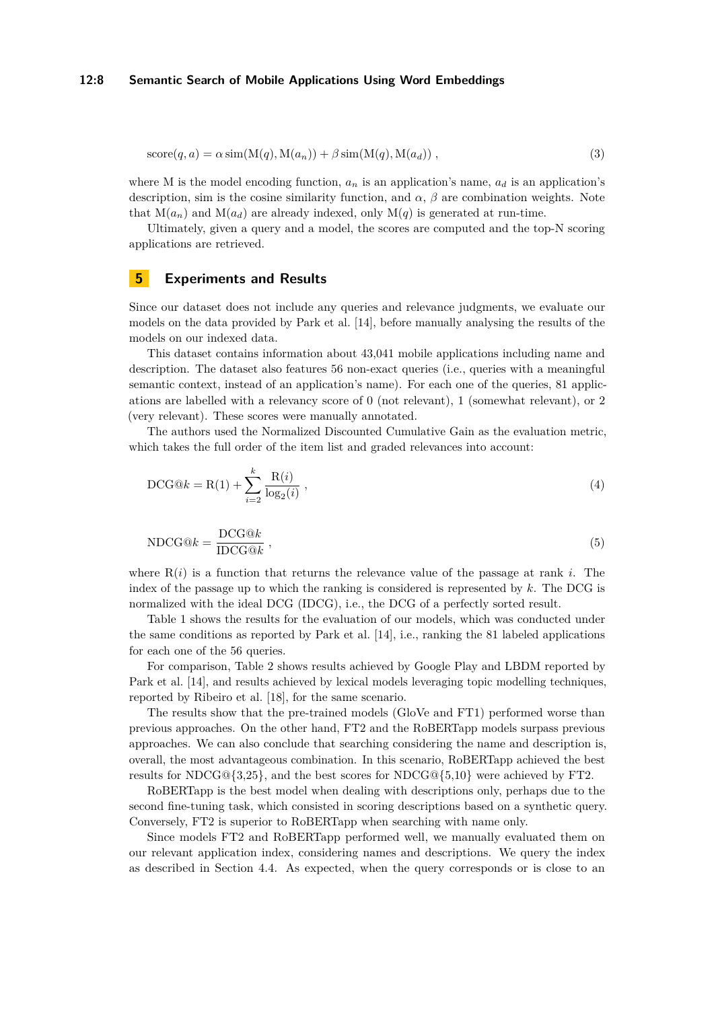#### **12:8 Semantic Search of Mobile Applications Using Word Embeddings**

$$
score(q, a) = \alpha \sin(M(q), M(a_n)) + \beta \sin(M(q), M(a_d)),
$$
\n(3)

where M is the model encoding function,  $a_n$  is an application's name,  $a_d$  is an application's description, sim is the cosine similarity function, and  $\alpha$ ,  $\beta$  are combination weights. Note that  $M(a_n)$  and  $M(a_d)$  are already indexed, only  $M(q)$  is generated at run-time.

Ultimately, given a query and a model, the scores are computed and the top-N scoring applications are retrieved.

#### <span id="page-7-0"></span>**5 Experiments and Results**

Since our dataset does not include any queries and relevance judgments, we evaluate our models on the data provided by Park et al. [\[14\]](#page-10-1), before manually analysing the results of the models on our indexed data.

This dataset contains information about 43,041 mobile applications including name and description. The dataset also features 56 non-exact queries (i.e., queries with a meaningful semantic context, instead of an application's name). For each one of the queries, 81 applications are labelled with a relevancy score of 0 (not relevant), 1 (somewhat relevant), or 2 (very relevant). These scores were manually annotated.

The authors used the Normalized Discounted Cumulative Gain as the evaluation metric, which takes the full order of the item list and graded relevances into account:

DCG@k = R(1) + 
$$
\sum_{i=2}^{k} \frac{R(i)}{\log_2(i)}
$$
, (4)

$$
NDCG@k = \frac{DCG@k}{IDCG@k} \t\t(5)
$$

where  $R(i)$  is a function that returns the relevance value of the passage at rank *i*. The index of the passage up to which the ranking is considered is represented by *k*. The DCG is normalized with the ideal DCG (IDCG), i.e., the DCG of a perfectly sorted result.

Table [1](#page-8-1) shows the results for the evaluation of our models, which was conducted under the same conditions as reported by Park et al. [\[14\]](#page-10-1), i.e., ranking the 81 labeled applications for each one of the 56 queries.

For comparison, Table [2](#page-8-2) shows results achieved by Google Play and LBDM reported by Park et al. [\[14\]](#page-10-1), and results achieved by lexical models leveraging topic modelling techniques, reported by Ribeiro et al. [\[18\]](#page-11-2), for the same scenario.

The results show that the pre-trained models (GloVe and FT1) performed worse than previous approaches. On the other hand, FT2 and the RoBERTapp models surpass previous approaches. We can also conclude that searching considering the name and description is, overall, the most advantageous combination. In this scenario, RoBERTapp achieved the best results for NDCG@{3,25}, and the best scores for NDCG@{5,10} were achieved by FT2.

RoBERTapp is the best model when dealing with descriptions only, perhaps due to the second fine-tuning task, which consisted in scoring descriptions based on a synthetic query. Conversely, FT2 is superior to RoBERTapp when searching with name only.

Since models FT2 and RoBERTapp performed well, we manually evaluated them on our relevant application index, considering names and descriptions. We query the index as described in Section [4.4.](#page-6-0) As expected, when the query corresponds or is close to an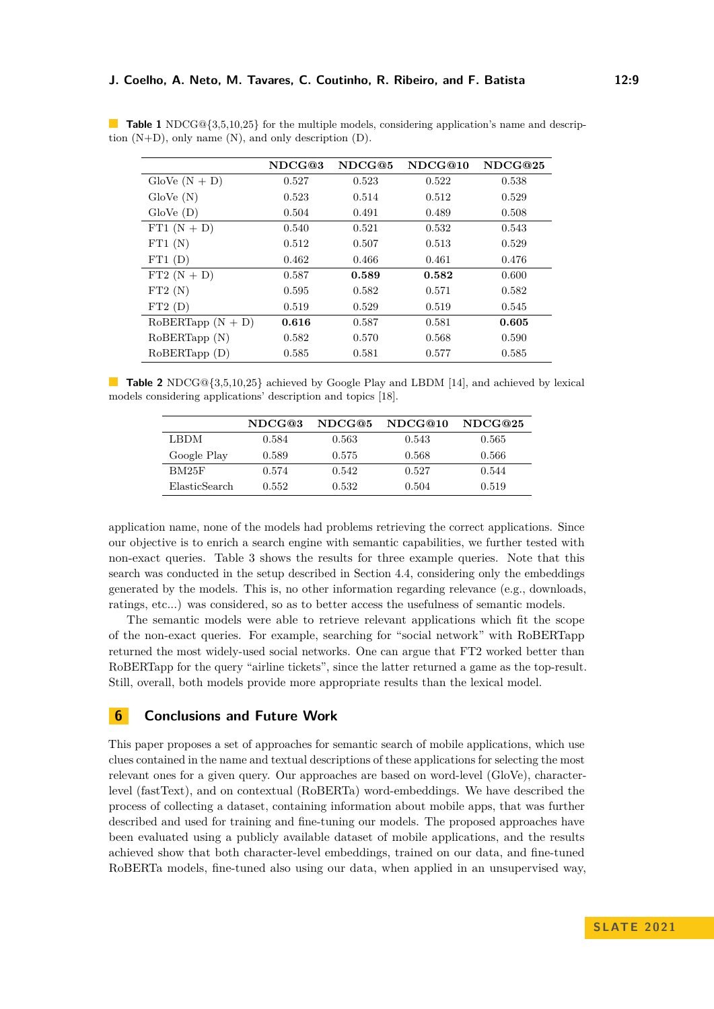|                       | NDCG@3 | NDCG@5 | NDCG@10 | NDCG@25 |
|-----------------------|--------|--------|---------|---------|
| $\text{GloVe}(N + D)$ | 0.527  | 0.523  | 0.522   | 0.538   |
| GloVe(N)              | 0.523  | 0.514  | 0.512   | 0.529   |
| $\text{GloVe }(D)$    | 0.504  | 0.491  | 0.489   | 0.508   |
| FT1 $(N + D)$         | 0.540  | 0.521  | 0.532   | 0.543   |
| FT1(N)                | 0.512  | 0.507  | 0.513   | 0.529   |
| FT1(D)                | 0.462  | 0.466  | 0.461   | 0.476   |
| $FT2(N + D)$          | 0.587  | 0.589  | 0.582   | 0.600   |
| FT2(N)                | 0.595  | 0.582  | 0.571   | 0.582   |
| FT2(D)                | 0.519  | 0.529  | 0.519   | 0.545   |
| $RoBERTapp (N + D)$   | 0.616  | 0.587  | 0.581   | 0.605   |
| RoBERTapp (N)         | 0.582  | 0.570  | 0.568   | 0.590   |
| $RoBERTapp$ (D)       | 0.585  | 0.581  | 0.577   | 0.585   |

<span id="page-8-1"></span>**Table 1** NDCG@{3,5,10,25} for the multiple models, considering application's name and description (N+D), only name (N), and only description (D).

<span id="page-8-2"></span>**Table 2** NDCG@{3,5,10,25} achieved by Google Play and LBDM [\[14\]](#page-10-1), and achieved by lexical models considering applications' description and topics [\[18\]](#page-11-2).

|               | NDCG@3 | NDCG@5 | NDCG@10 | NDCG@25 |
|---------------|--------|--------|---------|---------|
| LBDM          | 0.584  | 0.563  | 0.543   | 0.565   |
| Google Play   | 0.589  | 0.575  | 0.568   | 0.566   |
| BM25F         | 0.574  | 0.542  | 0.527   | 0.544   |
| ElasticSearch | 0.552  | 0.532  | 0.504   | 0.519   |
|               |        |        |         |         |

application name, none of the models had problems retrieving the correct applications. Since our objective is to enrich a search engine with semantic capabilities, we further tested with non-exact queries. Table [3](#page-9-0) shows the results for three example queries. Note that this search was conducted in the setup described in Section [4.4,](#page-6-0) considering only the embeddings generated by the models. This is, no other information regarding relevance (e.g., downloads, ratings, etc...) was considered, so as to better access the usefulness of semantic models.

The semantic models were able to retrieve relevant applications which fit the scope of the non-exact queries. For example, searching for "social network" with RoBERTapp returned the most widely-used social networks. One can argue that FT2 worked better than RoBERTapp for the query "airline tickets", since the latter returned a game as the top-result. Still, overall, both models provide more appropriate results than the lexical model.

# <span id="page-8-0"></span>**6 Conclusions and Future Work**

This paper proposes a set of approaches for semantic search of mobile applications, which use clues contained in the name and textual descriptions of these applications for selecting the most relevant ones for a given query. Our approaches are based on word-level (GloVe), characterlevel (fastText), and on contextual (RoBERTa) word-embeddings. We have described the process of collecting a dataset, containing information about mobile apps, that was further described and used for training and fine-tuning our models. The proposed approaches have been evaluated using a publicly available dataset of mobile applications, and the results achieved show that both character-level embeddings, trained on our data, and fine-tuned RoBERTa models, fine-tuned also using our data, when applied in an unsupervised way,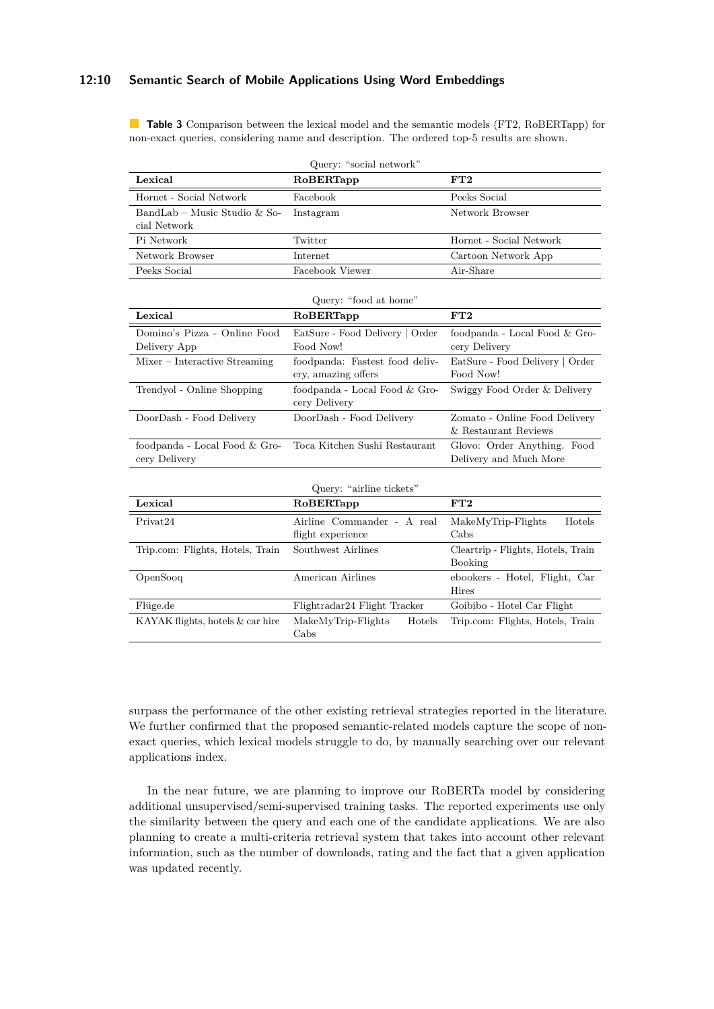### **12:10 Semantic Search of Mobile Applications Using Word Embeddings**

<span id="page-9-0"></span>**Table 3** Comparison between the lexical model and the semantic models (FT2, RoBERTapp) for non-exact queries, considering name and description. The ordered top-5 results are shown.

| Query: "social network"                        |                                                       |                                                       |  |  |  |
|------------------------------------------------|-------------------------------------------------------|-------------------------------------------------------|--|--|--|
| Lexical                                        | RoBERTapp                                             | FT2                                                   |  |  |  |
| Hornet - Social Network                        | Facebook                                              | Peeks Social                                          |  |  |  |
| BandLab - Music Studio & So-<br>cial Network   | Instagram                                             | Network Browser                                       |  |  |  |
| Pi Network                                     | Twitter                                               | Hornet - Social Network                               |  |  |  |
| Network Browser                                | Internet                                              | Cartoon Network App                                   |  |  |  |
| Peeks Social                                   | Facebook Viewer                                       | Air-Share                                             |  |  |  |
|                                                | Query: "food at home"                                 |                                                       |  |  |  |
| Lexical                                        | RoBERTapp                                             | FT2                                                   |  |  |  |
| Domino's Pizza - Online Food<br>Delivery App   | EatSure - Food Delivery   Order<br>Food Now!          | foodpanda - Local Food & Gro-<br>cery Delivery        |  |  |  |
| Mixer - Interactive Streaming                  | foodpanda: Fastest food deliv-<br>ery, amazing offers | EatSure - Food Delivery   Order<br>Food Now!          |  |  |  |
| Trendyol - Online Shopping                     | foodpanda - Local Food & Gro-<br>cery Delivery        | Swiggy Food Order & Delivery                          |  |  |  |
| DoorDash - Food Delivery                       | DoorDash - Food Delivery                              | Zomato - Online Food Delivery<br>& Restaurant Reviews |  |  |  |
| foodpanda - Local Food & Gro-<br>cery Delivery | Toca Kitchen Sushi Restaurant                         | Glovo: Order Anything. Food<br>Delivery and Much More |  |  |  |
| Query: "airline tickets"                       |                                                       |                                                       |  |  |  |
| Lexical                                        | RoBERTapp                                             | FT2                                                   |  |  |  |
| Privat24                                       | Airline Commander - A real<br>flight experience       | Hotels<br>MakeMyTrip-Flights<br>$C$ abs               |  |  |  |
| Trip.com: Flights, Hotels, Train               | Southwest Airlines                                    | Cleartrip - Flights, Hotels, Train<br>Booking         |  |  |  |
| OpenSooq                                       | American Airlines                                     | ebookers - Hotel, Flight, Car<br><b>Hires</b>         |  |  |  |
| Flüge.de                                       | Flightradar24 Flight Tracker                          | Goibibo - Hotel Car Flight                            |  |  |  |
| KAYAK flights, hotels & car hire               | MakeMyTrip-Flights<br>Hotels<br>Cabs                  | Trip.com: Flights, Hotels, Train                      |  |  |  |

surpass the performance of the other existing retrieval strategies reported in the literature. We further confirmed that the proposed semantic-related models capture the scope of nonexact queries, which lexical models struggle to do, by manually searching over our relevant applications index.

In the near future, we are planning to improve our RoBERTa model by considering additional unsupervised/semi-supervised training tasks. The reported experiments use only the similarity between the query and each one of the candidate applications. We are also planning to create a multi-criteria retrieval system that takes into account other relevant information, such as the number of downloads, rating and the fact that a given application was updated recently.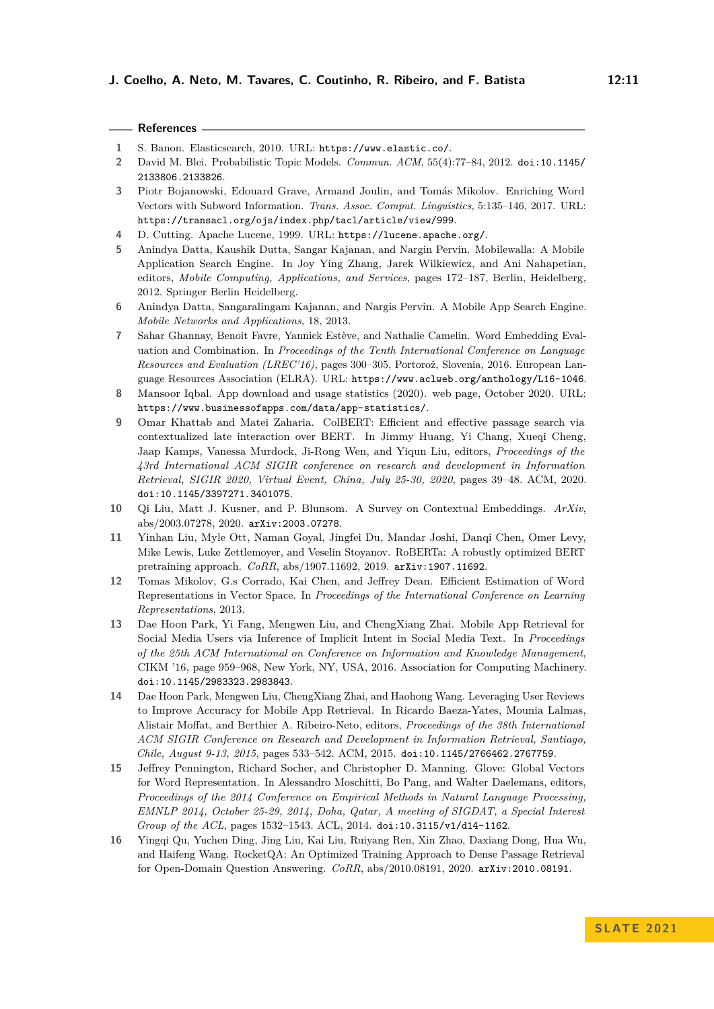<span id="page-10-13"></span><span id="page-10-11"></span><span id="page-10-8"></span><span id="page-10-6"></span><span id="page-10-5"></span><span id="page-10-4"></span><span id="page-10-3"></span><span id="page-10-2"></span><span id="page-10-0"></span>

|                | References —                                                                                                                                                                                                                                                                                                                                                                                                                                                |
|----------------|-------------------------------------------------------------------------------------------------------------------------------------------------------------------------------------------------------------------------------------------------------------------------------------------------------------------------------------------------------------------------------------------------------------------------------------------------------------|
| 1              | S. Banon. Elasticsearch, 2010. URL: https://www.elastic.co/.                                                                                                                                                                                                                                                                                                                                                                                                |
| $\overline{2}$ | David M. Blei. Probabilistic Topic Models. Commun. ACM, 55(4):77-84, 2012. doi:10.1145/<br>2133806.2133826.                                                                                                                                                                                                                                                                                                                                                 |
| 3              | Piotr Bojanowski, Edouard Grave, Armand Joulin, and Tomás Mikolov. Enriching Word<br>Vectors with Subword Information. Trans. Assoc. Comput. Linguistics, 5:135-146, 2017. URL:<br>https://transacl.org/ojs/index.php/tacl/article/view/999.                                                                                                                                                                                                                |
| 4              | D. Cutting. Apache Lucene, 1999. URL: https://lucene.apache.org/.                                                                                                                                                                                                                                                                                                                                                                                           |
| 5              | Anindya Datta, Kaushik Dutta, Sangar Kajanan, and Nargin Pervin. Mobilewalla: A Mobile<br>Application Search Engine. In Joy Ying Zhang, Jarek Wilkiewicz, and Ani Nahapetian,<br>editors, Mobile Computing, Applications, and Services, pages 172-187, Berlin, Heidelberg,<br>2012. Springer Berlin Heidelberg.                                                                                                                                             |
| 6              | Anindya Datta, Sangaralingam Kajanan, and Nargis Pervin. A Mobile App Search Engine.<br>Mobile Networks and Applications, 18, 2013.                                                                                                                                                                                                                                                                                                                         |
| 7              | Sahar Ghannay, Benoit Favre, Yannick Estève, and Nathalie Camelin. Word Embedding Eval-<br>uation and Combination. In Proceedings of the Tenth International Conference on Language<br>Resources and Evaluation (LREC'16), pages 300-305, Portorož, Slovenia, 2016. European Lan-<br>guage Resources Association (ELRA). URL: https://www.aclweb.org/anthology/L16-1046.                                                                                    |
| 8              | Mansoor Iqbal. App download and usage statistics (2020). web page, October 2020. URL:<br>https://www.businessofapps.com/data/app-statistics/.                                                                                                                                                                                                                                                                                                               |
| 9              | Omar Khattab and Matei Zaharia. ColBERT: Efficient and effective passage search via<br>contextualized late interaction over BERT. In Jimmy Huang, Yi Chang, Xueqi Cheng,<br>Jaap Kamps, Vanessa Murdock, Ji-Rong Wen, and Yiqun Liu, editors, Proceedings of the<br>43rd International ACM SIGIR conference on research and development in Information<br>Retrieval, SIGIR 2020, Virtual Event, China, July 25-30, 2020, pages 39-48. ACM, 2020.            |
|                | doi:10.1145/3397271.3401075.                                                                                                                                                                                                                                                                                                                                                                                                                                |
| $10\,$         | Qi Liu, Matt J. Kusner, and P. Blunsom. A Survey on Contextual Embeddings. ArXiv,<br>$abs/2003.07278, 2020.$ arXiv:2003.07278.                                                                                                                                                                                                                                                                                                                              |
| 11             | Yinhan Liu, Myle Ott, Naman Goyal, Jingfei Du, Mandar Joshi, Danqi Chen, Omer Levy,<br>Mike Lewis, Luke Zettlemoyer, and Veselin Stoyanov. RoBERTa: A robustly optimized BERT<br>pretraining approach. CoRR, abs/1907.11692, 2019. arXiv:1907.11692.                                                                                                                                                                                                        |
| 12             | Tomas Mikolov, G.s Corrado, Kai Chen, and Jeffrey Dean. Efficient Estimation of Word<br>Representations in Vector Space. In Proceedings of the International Conference on Learning<br>Representations, 2013.                                                                                                                                                                                                                                               |
| 13             | Dae Hoon Park, Yi Fang, Mengwen Liu, and ChengXiang Zhai. Mobile App Retrieval for<br>Social Media Users via Inference of Implicit Intent in Social Media Text. In Proceedings<br>of the 25th ACM International on Conference on Information and Knowledge Management,<br>CIKM '16, page 959–968, New York, NY, USA, 2016. Association for Computing Machinery.<br>doi:10.1145/2983323.2983843.                                                             |
| 14             | Dae Hoon Park, Mengwen Liu, ChengXiang Zhai, and Haohong Wang. Leveraging User Reviews<br>to Improve Accuracy for Mobile App Retrieval. In Ricardo Baeza-Yates, Mounia Lalmas,<br>Alistair Moffat, and Berthier A. Ribeiro-Neto, editors, Proceedings of the 38th International<br>ACM SIGIR Conference on Research and Development in Information Retrieval, Santiago,<br>Chile, August 9-13, 2015, pages 533-542. ACM, 2015. doi:10.1145/2766462.2767759. |
| 15             | Jeffrey Pennington, Richard Socher, and Christopher D. Manning. Glove: Global Vectors<br>for Word Representation. In Alessandro Moschitti, Bo Pang, and Walter Daelemans, editors,<br>Proceedings of the 2014 Conference on Empirical Methods in Natural Language Processing,<br>EMNLP 2014, October 25-29, 2014, Doha, Qatar, A meeting of SIGDAT, a Special Interest                                                                                      |

<span id="page-10-15"></span><span id="page-10-14"></span><span id="page-10-12"></span><span id="page-10-10"></span><span id="page-10-9"></span><span id="page-10-7"></span><span id="page-10-1"></span>*Group of the ACL*, pages 1532–1543. ACL, 2014. [doi:10.3115/v1/d14-1162](https://doi.org/10.3115/v1/d14-1162). **16** Yingqi Qu, Yuchen Ding, Jing Liu, Kai Liu, Ruiyang Ren, Xin Zhao, Daxiang Dong, Hua Wu, and Haifeng Wang. RocketQA: An Optimized Training Approach to Dense Passage Retrieval for Open-Domain Question Answering. *CoRR*, abs/2010.08191, 2020. [arXiv:2010.08191](http://arxiv.org/abs/2010.08191).